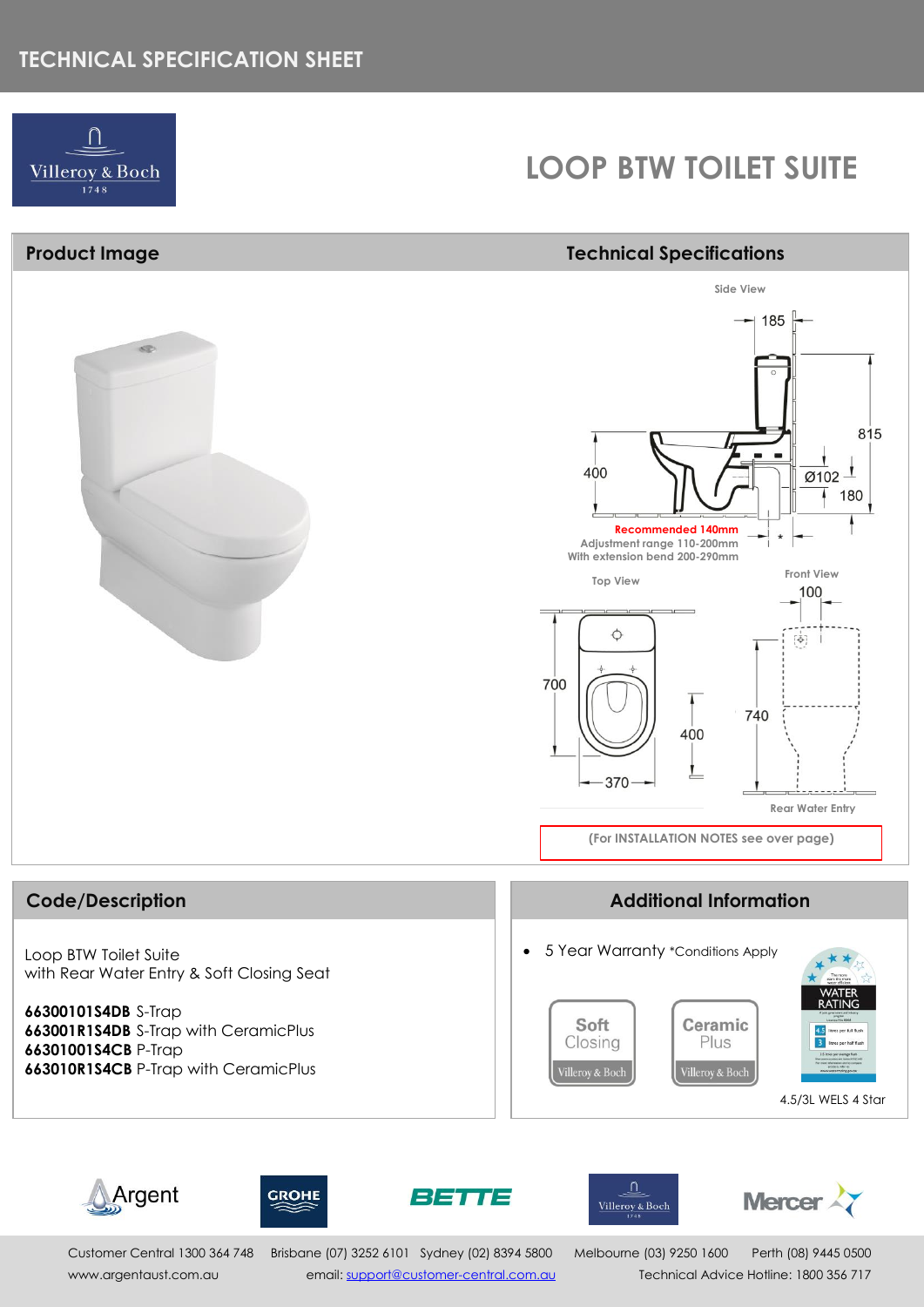## **TECHNICAL SPECIFICATION SHEET**



## **LOOP BTW TOILET SUITE**

### **Product Image Technical Specifications**













Customer Central 1300 364 748 Brisbane (07) 3252 6101 Sydney (02) 8394 5800 Melbourne (03) 9250 1600 Perth (08) 9445 0500 [www.argentaust.com.au](http://www.argentaust.com.au/) email[: support@customer-central.com.au](mailto:support@customer-central.com.au) Technical Advice Hotline: 18*0*0 356 717